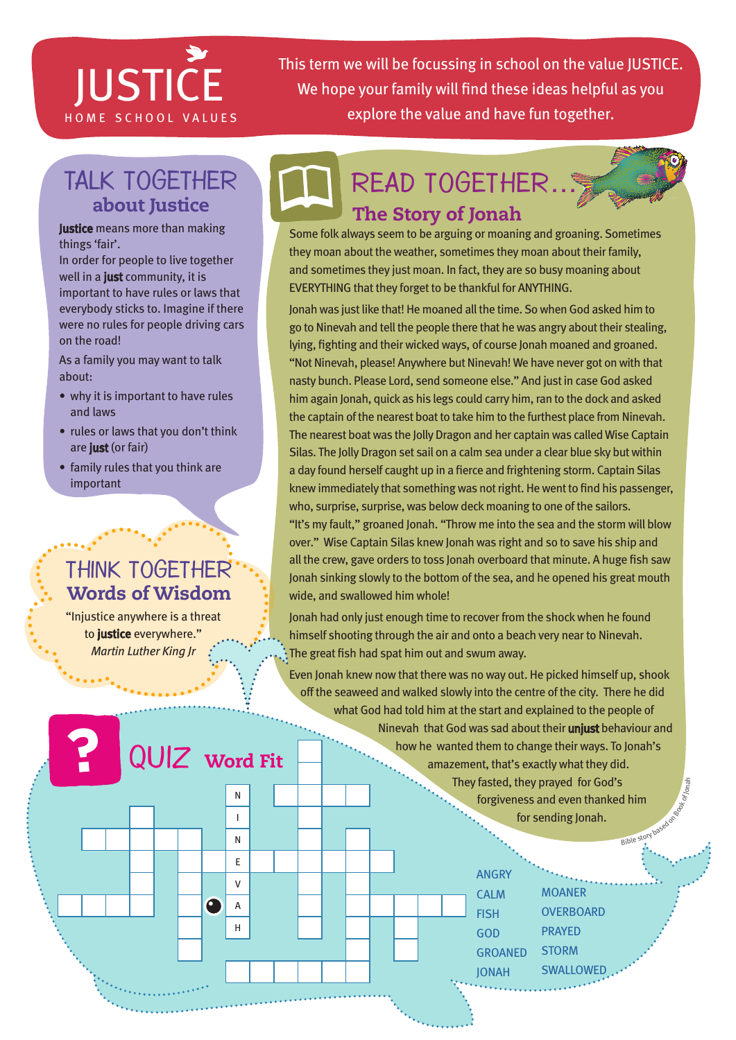# JUSTICE

This term we will be focussing in school on the value JUSTICE. We hope your family will find these ideas helpful as you HOME SCHOOL VALUES explore the value and have fun together.

### Talk together about Justice

**Justice** means more than making things 'fair'.

In order for people to live together well in a just community, it is important to have rules or laws that everybody sticks to. Imagine if there were no rules for people driving cars on the road!

As a family you may want to talk about:

- why it is important to have rules and laws
- rules or laws that you don't think are just (or fair)
- family rules that you think are important

### Think together Words of Wisdom

"Injustice anywhere is a threat to justice everywhere." *Martin Luther King Jr*

QUIZ Word Fit

 $\bullet$ 

N I N E V A H





Jonah was just like that! He moaned all the time. So when God asked him to go to Ninevah and tell the people there that he was angry about their stealing, lying, fighting and their wicked ways, of course Jonah moaned and groaned. "Not Ninevah, please! Anywhere but Ninevah! We have never got on with that nasty bunch. Please Lord, send someone else." And just in case God asked him again Jonah, quick as his legs could carry him, ran to the dock and asked the captain of the nearest boat to take him to the furthest place from Ninevah. The nearest boat was the Jolly Dragon and her captain was called Wise Captain Silas. The Jolly Dragon set sail on a calm sea under a clear blue sky but within a day found herself caught up in a fierce and frightening storm. Captain Silas knew immediately that something was not right. He went to find his passenger, who, surprise, surprise, was below deck moaning to one of the sailors. "It's my fault," groaned Jonah. "Throw me into the sea and the storm will blow over." Wise Captain Silas knew Jonah was right and so to save his ship and all the crew, gave orders to toss Jonah overboard that minute. A huge fish saw Jonah sinking slowly to the bottom of the sea, and he opened his great mouth wide, and swallowed him whole!

Jonah had only just enough time to recover from the shock when he found himself shooting through the air and onto a beach very near to Ninevah. The great fish had spat him out and swum away.

Even Jonah knew now that there was no way out. He picked himself up, shook off the seaweed and walked slowly into the centre of the city. There he did what God had told him at the start and explained to the people of Ninevah that God was sad about their **unjust** behaviour and how he wanted them to change their ways. To Jonah's amazement, that's exactly what they did. They fasted, they prayed for God's forgiveness and even thanked him

> for sending Jonah. Bible story based of

**ANGRY CALM FISH GOD GROANED** Jonah **MOANER OVERBOARD** prayed **STORM SWALLOWED**